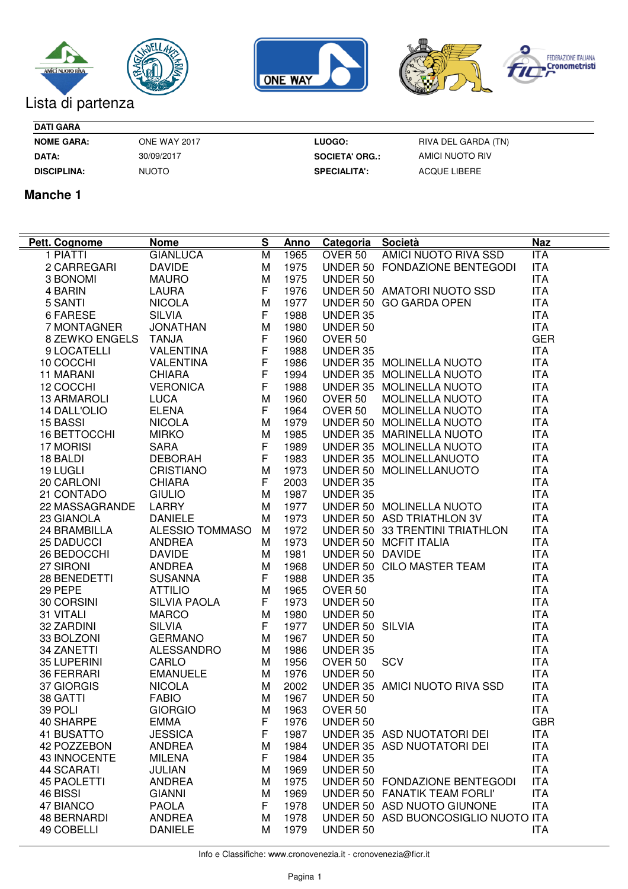





| <b>DATI GARA</b>   |              |
|--------------------|--------------|
| <b>NOME GARA:</b>  | ONE WAY 2017 |
| <b>DATA:</b>       | 30/09/2017   |
| <b>DISCIPLINA:</b> | NUOTO        |

**NOME GARA: LUOGO: DATA: SOCIETA' ORG.: DISCIPLINA: SPECIALITA':**

RIVA DEL GARDA (TN) AMICI NUOTO RIV ACQUE LIBERE

## **Manche 1**

| Pett. Cognome      | <b>Nome</b>         | S           | <u>Anno</u> | Categoria Società  |                                     | <b>Naz</b> |
|--------------------|---------------------|-------------|-------------|--------------------|-------------------------------------|------------|
| 1 PIATTI           | <b>GIANLUCA</b>     | M           | 1965        | OVER 50            | AMICI NUOTO RIVA SSD                | ITA        |
| 2 CARREGARI        | <b>DAVIDE</b>       | M           | 1975        |                    | UNDER 50 FONDAZIONE BENTEGODI       | <b>ITA</b> |
| 3 BONOMI           | <b>MAURO</b>        | M           | 1975        | UNDER 50           |                                     | <b>ITA</b> |
| 4 BARIN            | <b>LAURA</b>        | F.          | 1976        |                    | UNDER 50 AMATORI NUOTO SSD          | <b>ITA</b> |
| 5 SANTI            | <b>NICOLA</b>       | M           | 1977        |                    | UNDER 50 GO GARDA OPEN              | <b>ITA</b> |
| 6 FARESE           | <b>SILVIA</b>       | F           | 1988        | UNDER 35           |                                     | <b>ITA</b> |
| 7 MONTAGNER        | <b>JONATHAN</b>     | M           | 1980        | UNDER 50           |                                     | <b>ITA</b> |
| 8 ZEWKO ENGELS     | <b>TANJA</b>        | F           | 1960        | OVER <sub>50</sub> |                                     | <b>GER</b> |
| 9 LOCATELLI        | <b>VALENTINA</b>    | $\mathsf F$ | 1988        | UNDER 35           |                                     | <b>ITA</b> |
| 10 COCCHI          | <b>VALENTINA</b>    | $\mathsf F$ | 1986        |                    | UNDER 35 MOLINELLA NUOTO            | <b>ITA</b> |
| 11 MARANI          | <b>CHIARA</b>       | $\mathsf F$ | 1994        |                    | UNDER 35 MOLINELLA NUOTO            | <b>ITA</b> |
| 12 COCCHI          | <b>VERONICA</b>     | $\mathsf F$ | 1988        |                    | UNDER 35 MOLINELLA NUOTO            | <b>ITA</b> |
| <b>13 ARMAROLI</b> | <b>LUCA</b>         | M           | 1960        | OVER 50            | <b>MOLINELLA NUOTO</b>              | <b>ITA</b> |
| 14 DALL'OLIO       | <b>ELENA</b>        | F           | 1964        | OVER 50            | <b>MOLINELLA NUOTO</b>              | <b>ITA</b> |
| 15 BASSI           | <b>NICOLA</b>       | M           | 1979        |                    | UNDER 50 MOLINELLA NUOTO            | <b>ITA</b> |
| 16 BETTOCCHI       | <b>MIRKO</b>        | M           | 1985        |                    | UNDER 35 MARINELLA NUOTO            | <b>ITA</b> |
| 17 MORISI          | <b>SARA</b>         | F           | 1989        |                    | UNDER 35 MOLINELLA NUOTO            | <b>ITA</b> |
| 18 BALDI           | <b>DEBORAH</b>      | F           | 1983        |                    | UNDER 35 MOLINELLANUOTO             | <b>ITA</b> |
| 19 LUGLI           | <b>CRISTIANO</b>    | M           | 1973        |                    | UNDER 50 MOLINELLANUOTO             | <b>ITA</b> |
| 20 CARLONI         | <b>CHIARA</b>       | F           | 2003        | UNDER 35           |                                     | <b>ITA</b> |
| 21 CONTADO         | <b>GIULIO</b>       | M           | 1987        | UNDER 35           |                                     | <b>ITA</b> |
| 22 MASSAGRANDE     | LARRY               | M           | 1977        |                    | UNDER 50 MOLINELLA NUOTO            | <b>ITA</b> |
| 23 GIANOLA         | <b>DANIELE</b>      | м           | 1973        |                    | UNDER 50 ASD TRIATHLON 3V           | <b>ITA</b> |
| 24 BRAMBILLA       | ALESSIO TOMMASO     | м           | 1972        |                    | UNDER 50 33 TRENTINI TRIATHLON      | <b>ITA</b> |
| <b>25 DADUCCI</b>  | <b>ANDREA</b>       | M           | 1973        |                    | UNDER 50 MCFIT ITALIA               | <b>ITA</b> |
| 26 BEDOCCHI        | <b>DAVIDE</b>       | M           | 1981        | UNDER 50 DAVIDE    |                                     | <b>ITA</b> |
| 27 SIRONI          | <b>ANDREA</b>       | M           | 1968        |                    | UNDER 50 CILO MASTER TEAM           | <b>ITA</b> |
| 28 BENEDETTI       | <b>SUSANNA</b>      | F           | 1988        | UNDER 35           |                                     | <b>ITA</b> |
| 29 PEPE            | <b>ATTILIO</b>      | M           | 1965        | OVER <sub>50</sub> |                                     | <b>ITA</b> |
| 30 CORSINI         | <b>SILVIA PAOLA</b> | F.          | 1973        | UNDER 50           |                                     | <b>ITA</b> |
| 31 VITALI          | <b>MARCO</b>        | M           | 1980        | UNDER 50           |                                     | <b>ITA</b> |
| 32 ZARDINI         | <b>SILVIA</b>       | F.          | 1977        | UNDER 50 SILVIA    |                                     | <b>ITA</b> |
| 33 BOLZONI         | <b>GERMANO</b>      | M           | 1967        | UNDER 50           |                                     | <b>ITA</b> |
| 34 ZANETTI         | <b>ALESSANDRO</b>   | M           | 1986        | UNDER 35           |                                     | <b>ITA</b> |
| 35 LUPERINI        | CARLO               | M           | 1956        | OVER <sub>50</sub> | SCV                                 | <b>ITA</b> |
| 36 FERRARI         | <b>EMANUELE</b>     | M           | 1976        | UNDER 50           |                                     | <b>ITA</b> |
| 37 GIORGIS         | <b>NICOLA</b>       | M           | 2002        |                    | UNDER 35 AMICI NUOTO RIVA SSD       | <b>ITA</b> |
| 38 GATTI           | <b>FABIO</b>        | M           | 1967        | UNDER 50           |                                     | <b>ITA</b> |
| 39 POLI            | <b>GIORGIO</b>      | M           | 1963        | OVER 50            |                                     | <b>ITA</b> |
| 40 SHARPE          | <b>EMMA</b>         | F           | 1976        | UNDER 50           |                                     | <b>GBR</b> |
| 41 BUSATTO         | <b>JESSICA</b>      | F           | 1987        |                    | UNDER 35 ASD NUOTATORI DEI          | <b>ITA</b> |
| 42 POZZEBON        | <b>ANDREA</b>       | M           | 1984        |                    | UNDER 35 ASD NUOTATORI DEI          | <b>ITA</b> |
| 43 INNOCENTE       | <b>MILENA</b>       | F           | 1984        | UNDER 35           |                                     | <b>ITA</b> |
| <b>44 SCARATI</b>  | JULIAN              | M           | 1969        | UNDER 50           |                                     | <b>ITA</b> |
| <b>45 PAOLETTI</b> | <b>ANDREA</b>       | M           | 1975        |                    | UNDER 50 FONDAZIONE BENTEGODI       | <b>ITA</b> |
| 46 BISSI           | <b>GIANNI</b>       | M           | 1969        |                    | UNDER 50 FANATIK TEAM FORLI'        | <b>ITA</b> |
| 47 BIANCO          | <b>PAOLA</b>        | F           | 1978        |                    | UNDER 50 ASD NUOTO GIUNONE          | <b>ITA</b> |
| <b>48 BERNARDI</b> | <b>ANDREA</b>       | M           | 1978        |                    | UNDER 50 ASD BUONCOSIGLIO NUOTO ITA |            |
| 49 COBELLI         | <b>DANIELE</b>      | м           | 1979        | UNDER 50           |                                     | <b>ITA</b> |
|                    |                     |             |             |                    |                                     |            |

Info e Classifiche: www.cronovenezia.it - cronovenezia@ficr.it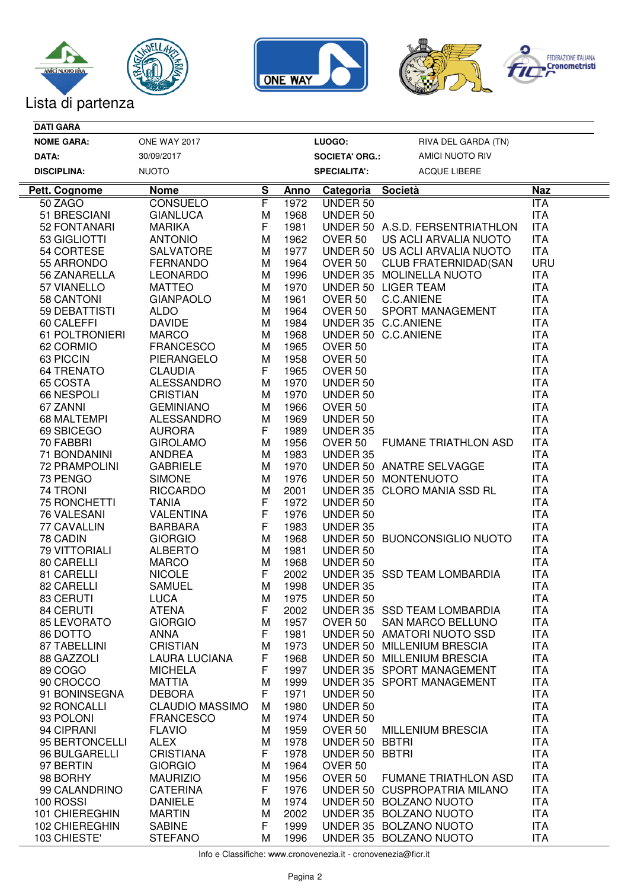





| <b>DATI GARA</b>     |                        |          |             |                       |                                 |            |
|----------------------|------------------------|----------|-------------|-----------------------|---------------------------------|------------|
| <b>NOME GARA:</b>    | <b>ONE WAY 2017</b>    |          |             | LUOGO:                | RIVA DEL GARDA (TN)             |            |
| DATA:                | 30/09/2017             |          |             | <b>SOCIETA' ORG.:</b> | AMICI NUOTO RIV                 |            |
| <b>DISCIPLINA:</b>   | <b>NUOTO</b>           |          |             | <b>SPECIALITA':</b>   | ACQUE LIBERE                    |            |
| Pett. Cognome        | <b>Nome</b>            | <u>s</u> | <u>Anno</u> | Categoria Società     |                                 | <b>Naz</b> |
| 50 ZAGO              | <b>CONSUELO</b>        | F        | 1972        | UNDER 50              |                                 | ITA        |
| 51 BRESCIANI         | <b>GIANLUCA</b>        | M        | 1968        | UNDER 50              |                                 | <b>ITA</b> |
| 52 FONTANARI         | <b>MARIKA</b>          | F        | 1981        |                       | UNDER 50 A.S.D. FERSENTRIATHLON | <b>ITA</b> |
| 53 GIGLIOTTI         | <b>ANTONIO</b>         | M        | 1962        | OVER <sub>50</sub>    | US ACLI ARVALIA NUOTO           | <b>ITA</b> |
| 54 CORTESE           | <b>SALVATORE</b>       | M        | 1977        |                       | UNDER 50 US ACLI ARVALIA NUOTO  | <b>ITA</b> |
| 55 ARRONDO           | <b>FERNANDO</b>        | M        | 1964        | OVER 50               | <b>CLUB FRATERNIDAD(SAN</b>     | <b>URU</b> |
| 56 ZANARELLA         | <b>LEONARDO</b>        | M        | 1996        |                       | UNDER 35 MOLINELLA NUOTO        | <b>ITA</b> |
| 57 VIANELLO          | <b>MATTEO</b>          | M        | 1970        |                       | UNDER 50 LIGER TEAM             | <b>ITA</b> |
| 58 CANTONI           | <b>GIANPAOLO</b>       | M        | 1961        | OVER 50               | C.C.ANIENE                      | <b>ITA</b> |
| 59 DEBATTISTI        | <b>ALDO</b>            | M        | 1964        | OVER 50               | SPORT MANAGEMENT                | <b>ITA</b> |
| 60 CALEFFI           | <b>DAVIDE</b>          | M        | 1984        |                       | UNDER 35 C.C.ANIENE             | <b>ITA</b> |
| 61 POLTRONIERI       | <b>MARCO</b>           | M        | 1968        |                       | UNDER 50 C.C.ANIENE             | <b>ITA</b> |
| 62 CORMIO            | <b>FRANCESCO</b>       | M        | 1965        | OVER <sub>50</sub>    |                                 | <b>ITA</b> |
| 63 PICCIN            | PIERANGELO             | M        | 1958        | OVER <sub>50</sub>    |                                 | <b>ITA</b> |
| <b>64 TRENATO</b>    | <b>CLAUDIA</b>         | F        | 1965        | OVER <sub>50</sub>    |                                 | <b>ITA</b> |
| 65 COSTA             | <b>ALESSANDRO</b>      | M        | 1970        | UNDER 50              |                                 | <b>ITA</b> |
| 66 NESPOLI           | <b>CRISTIAN</b>        | M        | 1970        | UNDER 50              |                                 | <b>ITA</b> |
| 67 ZANNI             | <b>GEMINIANO</b>       | M        | 1966        | OVER 50               |                                 | <b>ITA</b> |
| 68 MALTEMPI          | <b>ALESSANDRO</b>      | M        | 1969        | UNDER 50              |                                 | <b>ITA</b> |
| 69 SBICEGO           | <b>AURORA</b>          | F        | 1989        | UNDER 35              |                                 | <b>ITA</b> |
| 70 FABBRI            | <b>GIROLAMO</b>        | M        | 1956        | OVER 50               | <b>FUMANE TRIATHLON ASD</b>     | <b>ITA</b> |
| 71 BONDANINI         | <b>ANDREA</b>          | M        | 1983        | UNDER 35              |                                 | <b>ITA</b> |
| <b>72 PRAMPOLINI</b> | <b>GABRIELE</b>        | M        | 1970        |                       | UNDER 50 ANATRE SELVAGGE        | <b>ITA</b> |
| 73 PENGO             | <b>SIMONE</b>          | M        | 1976        |                       | UNDER 50 MONTENUOTO             | <b>ITA</b> |
| 74 TRONI             | <b>RICCARDO</b>        | M        | 2001        |                       | UNDER 35 CLORO MANIA SSD RL     | <b>ITA</b> |
| 75 RONCHETTI         | <b>TANIA</b>           | F        | 1972        | UNDER 50              |                                 | <b>ITA</b> |
| 76 VALESANI          | <b>VALENTINA</b>       | F        | 1976        | UNDER 50              |                                 | <b>ITA</b> |
| 77 CAVALLIN          | <b>BARBARA</b>         | F        | 1983        | UNDER 35              |                                 | <b>ITA</b> |
| 78 CADIN             | <b>GIORGIO</b>         | M        | 1968        |                       | UNDER 50 BUONCONSIGLIO NUOTO    | <b>ITA</b> |
| <b>79 VITTORIALI</b> | <b>ALBERTO</b>         | M        | 1981        | UNDER 50              |                                 | <b>ITA</b> |
| 80 CARELLI           | <b>MARCO</b>           | M        | 1968        | UNDER 50              |                                 | <b>ITA</b> |
| 81 CARELLI           | <b>NICOLE</b>          | F        | 2002        |                       | UNDER 35 SSD TEAM LOMBARDIA     | <b>ITA</b> |
| 82 CARELLI           | <b>SAMUEL</b>          | M        | 1998        | <b>UNDER 35</b>       |                                 | <b>ITA</b> |
| 83 CERUTI            | <b>LUCA</b>            | М        | 1975        | UNDER 50              |                                 | <b>ITA</b> |
| 84 CERUTI            | <b>ATENA</b>           | F        | 2002        |                       | UNDER 35 SSD TEAM LOMBARDIA     | <b>ITA</b> |
| 85 LEVORATO          | <b>GIORGIO</b>         | M        | 1957        | OVER 50               | SAN MARCO BELLUNO               | <b>ITA</b> |
| 86 DOTTO             | <b>ANNA</b>            | F        | 1981        |                       | UNDER 50 AMATORI NUOTO SSD      | <b>ITA</b> |
| 87 TABELLINI         | <b>CRISTIAN</b>        | М        | 1973        |                       | UNDER 50 MILLENIUM BRESCIA      | <b>ITA</b> |
| 88 GAZZOLI           | <b>LAURA LUCIANA</b>   | F        | 1968        |                       | UNDER 50 MILLENIUM BRESCIA      | <b>ITA</b> |
| 89 COGO              | <b>MICHELA</b>         | F        | 1997        |                       | UNDER 35 SPORT MANAGEMENT       | <b>ITA</b> |
| 90 CROCCO            | <b>MATTIA</b>          | M        | 1999        |                       | UNDER 35 SPORT MANAGEMENT       | <b>ITA</b> |
| 91 BONINSEGNA        | <b>DEBORA</b>          | F        | 1971        | UNDER 50              |                                 | <b>ITA</b> |
| 92 RONCALLI          | <b>CLAUDIO MASSIMO</b> | M        | 1980        | UNDER 50              |                                 | <b>ITA</b> |
| 93 POLONI            | <b>FRANCESCO</b>       | M        | 1974        | UNDER 50              |                                 | <b>ITA</b> |
| 94 CIPRANI           | <b>FLAVIO</b>          | M        | 1959        | OVER <sub>50</sub>    | <b>MILLENIUM BRESCIA</b>        | <b>ITA</b> |
| 95 BERTONCELLI       | <b>ALEX</b>            | M        | 1978        | UNDER 50 BBTRI        |                                 | <b>ITA</b> |
| 96 BULGARELLI        | <b>CRISTIANA</b>       | F        | 1978        | UNDER 50 BBTRI        |                                 | <b>ITA</b> |
| 97 BERTIN            | <b>GIORGIO</b>         | M        | 1964        | OVER <sub>50</sub>    |                                 | <b>ITA</b> |
| 98 BORHY             | <b>MAURIZIO</b>        | M        | 1956        | OVER <sub>50</sub>    | <b>FUMANE TRIATHLON ASD</b>     | <b>ITA</b> |
| 99 CALANDRINO        | <b>CATERINA</b>        | F        | 1976        |                       | UNDER 50 CUSPROPATRIA MILANO    | <b>ITA</b> |
| 100 ROSSI            | <b>DANIELE</b>         | M        | 1974        |                       | UNDER 50 BOLZANO NUOTO          | <b>ITA</b> |
|                      |                        | M        | 2002        |                       | UNDER 35 BOLZANO NUOTO          | <b>ITA</b> |
| 101 CHIEREGHIN       | <b>MARTIN</b>          |          |             |                       |                                 |            |
| 102 CHIEREGHIN       | <b>SABINE</b>          | F        | 1999        |                       | UNDER 35 BOLZANO NUOTO          | <b>ITA</b> |

Info e Classifiche: www.cronovenezia.it - cronovenezia@ficr.it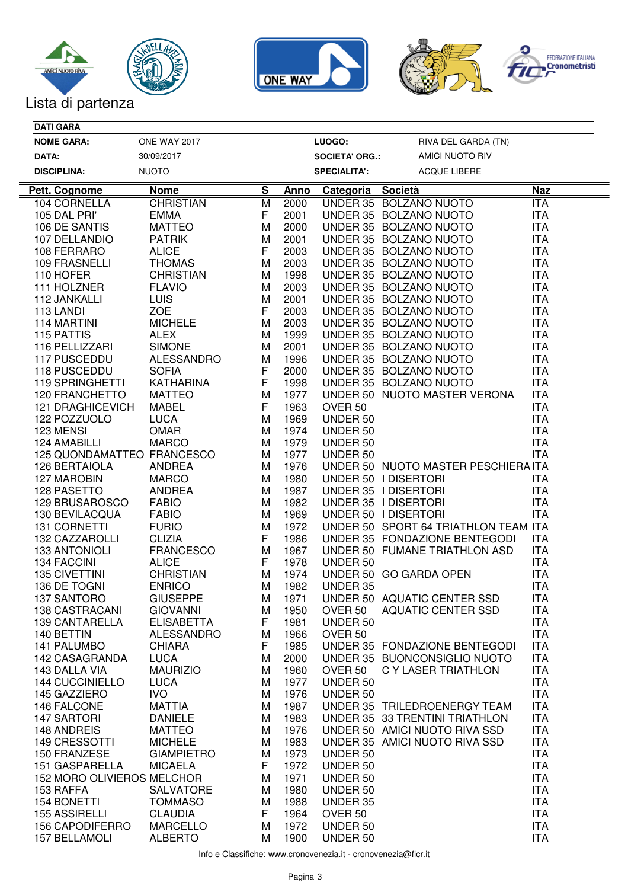





| <b>DATI GARA</b>                 |                     |          |             |                       |                                      |            |
|----------------------------------|---------------------|----------|-------------|-----------------------|--------------------------------------|------------|
| <b>NOME GARA:</b>                | <b>ONE WAY 2017</b> |          |             | LUOGO:                | RIVA DEL GARDA (TN)                  |            |
| DATA:                            | 30/09/2017          |          |             | <b>SOCIETA' ORG.:</b> | AMICI NUOTO RIV                      |            |
| <b>DISCIPLINA:</b>               | <b>NUOTO</b>        |          |             | <b>SPECIALITA':</b>   | ACQUE LIBERE                         |            |
| <b>Pett. Cognome</b>             | <b>Nome</b>         | <u>s</u> | <b>Anno</b> | Categoria Società     |                                      | <b>Naz</b> |
| 104 CORNELLA                     | <b>CHRISTIAN</b>    | M        | 2000        |                       | UNDER 35 BOLZANO NUOTO               | <b>ITA</b> |
| 105 DAL PRI'                     | <b>EMMA</b>         | F        | 2001        |                       | UNDER 35 BOLZANO NUOTO               | <b>ITA</b> |
| 106 DE SANTIS                    | <b>MATTEO</b>       | M        | 2000        |                       | UNDER 35 BOLZANO NUOTO               | <b>ITA</b> |
| 107 DELLANDIO                    | <b>PATRIK</b>       | M        | 2001        |                       | UNDER 35 BOLZANO NUOTO               | <b>ITA</b> |
| 108 FERRARO                      | <b>ALICE</b>        | F        | 2003        |                       | UNDER 35 BOLZANO NUOTO               | <b>ITA</b> |
| 109 FRASNELLI                    | <b>THOMAS</b>       | M        | 2003        |                       | UNDER 35 BOLZANO NUOTO               | <b>ITA</b> |
| 110 HOFER                        | <b>CHRISTIAN</b>    | M        | 1998        |                       | UNDER 35 BOLZANO NUOTO               | <b>ITA</b> |
| 111 HOLZNER                      | <b>FLAVIO</b>       | M        | 2003        |                       | UNDER 35 BOLZANO NUOTO               | <b>ITA</b> |
| 112 JANKALLI                     | <b>LUIS</b>         | M        | 2001        |                       | UNDER 35 BOLZANO NUOTO               | <b>ITA</b> |
| 113 LANDI                        | <b>ZOE</b>          | F        | 2003        |                       | UNDER 35 BOLZANO NUOTO               | <b>ITA</b> |
| 114 MARTINI                      | <b>MICHELE</b>      | M        | 2003        |                       | UNDER 35 BOLZANO NUOTO               | <b>ITA</b> |
| 115 PATTIS                       | <b>ALEX</b>         | M        | 1999        |                       | UNDER 35 BOLZANO NUOTO               | <b>ITA</b> |
| 116 PELLIZZARI                   | <b>SIMONE</b>       | M        | 2001        |                       | UNDER 35 BOLZANO NUOTO               | <b>ITA</b> |
| 117 PUSCEDDU                     | <b>ALESSANDRO</b>   | M        | 1996        |                       | UNDER 35 BOLZANO NUOTO               | <b>ITA</b> |
| 118 PUSCEDDU                     | <b>SOFIA</b>        | F        | 2000        |                       | UNDER 35 BOLZANO NUOTO               | <b>ITA</b> |
| <b>119 SPRINGHETTI</b>           | <b>KATHARINA</b>    | F        | 1998        |                       | UNDER 35 BOLZANO NUOTO               | <b>ITA</b> |
| <b>120 FRANCHETTO</b>            | <b>MATTEO</b>       | M        | 1977        |                       | UNDER 50 NUOTO MASTER VERONA         | <b>ITA</b> |
| <b>121 DRAGHICEVICH</b>          | <b>MABEL</b>        | F        | 1963        | OVER <sub>50</sub>    |                                      | <b>ITA</b> |
| 122 POZZUOLO                     | <b>LUCA</b>         | M        | 1969        | UNDER 50              |                                      | <b>ITA</b> |
| 123 MENSI                        | <b>OMAR</b>         | M        | 1974        | UNDER 50              |                                      | <b>ITA</b> |
| 124 AMABILLI                     | <b>MARCO</b>        | M        | 1979        | UNDER 50              |                                      | <b>ITA</b> |
| 125 QUONDAMATTEO FRANCESCO       |                     | M        | 1977        | UNDER 50              |                                      | <b>ITA</b> |
| 126 BERTAIOLA                    | <b>ANDREA</b>       | M        | 1976        |                       | UNDER 50 NUOTO MASTER PESCHIERA ITA  |            |
| 127 MAROBIN                      | <b>MARCO</b>        | M        | 1980        |                       | UNDER 50   DISERTORI                 | <b>ITA</b> |
| 128 PASETTO                      | <b>ANDREA</b>       | M        | 1987        |                       | UNDER 35   DISERTORI                 | <b>ITA</b> |
| 129 BRUSAROSCO                   | <b>FABIO</b>        | M        | 1982        |                       | UNDER 35   DISERTORI                 | <b>ITA</b> |
| 130 BEVILACQUA                   | <b>FABIO</b>        | M        | 1969        |                       | UNDER 50   DISERTORI                 | <b>ITA</b> |
| 131 CORNETTI                     | <b>FURIO</b>        | M        | 1972        |                       | UNDER 50 SPORT 64 TRIATHLON TEAM ITA |            |
| 132 CAZZAROLLI                   | <b>CLIZIA</b>       | F        | 1986        |                       | UNDER 35 FONDAZIONE BENTEGODI        | ITA        |
| <b>133 ANTONIOLI</b>             | <b>FRANCESCO</b>    | M        | 1967        |                       | UNDER 50 FUMANE TRIATHLON ASD        | <b>ITA</b> |
| 134 FACCINI                      | <b>ALICE</b>        | F        | 1978        | UNDER 50              |                                      | <b>ITA</b> |
| <b>135 CIVETTINI</b>             | <b>CHRISTIAN</b>    | M        | 1974        |                       | UNDER 50 GO GARDA OPEN               | <b>ITA</b> |
| 136 DE TOGNI                     | <b>ENRICO</b>       | M        | 1982        | UNDER 35              |                                      | <b>ITA</b> |
| 137 SANTORO                      | <b>GIUSEPPE</b>     | M        | 1971        |                       | UNDER 50 AQUATIC CENTER SSD          | <b>ITA</b> |
| 138 CASTRACANI                   | <b>GIOVANNI</b>     | M        | 1950        | OVER 50               | <b>AQUATIC CENTER SSD</b>            | <b>ITA</b> |
| 139 CANTARELLA                   | <b>ELISABETTA</b>   | F        | 1981        | UNDER 50              |                                      | <b>ITA</b> |
| 140 BETTIN                       | <b>ALESSANDRO</b>   | M        | 1966        | OVER <sub>50</sub>    |                                      | <b>ITA</b> |
| 141 PALUMBO                      | <b>CHIARA</b>       | F        | 1985        |                       | UNDER 35 FONDAZIONE BENTEGODI        | <b>ITA</b> |
| 142 CASAGRANDA                   | <b>LUCA</b>         | M        | 2000        |                       | UNDER 35 BUONCONSIGLIO NUOTO         | <b>ITA</b> |
| 143 DALLA VIA                    | <b>MAURIZIO</b>     | M        | 1960        | OVER 50               | C Y LASER TRIATHLON                  | <b>ITA</b> |
| <b>144 CUCCINIELLO</b>           | <b>LUCA</b>         | M        | 1977        | UNDER 50              |                                      | <b>ITA</b> |
| 145 GAZZIERO                     | <b>IVO</b>          | M        | 1976        | UNDER 50              |                                      | <b>ITA</b> |
| 146 FALCONE                      | <b>MATTIA</b>       | M        | 1987        |                       | UNDER 35 TRILEDROENERGY TEAM         | <b>ITA</b> |
| 147 SARTORI                      | <b>DANIELE</b>      | M        | 1983        |                       | UNDER 35 33 TRENTINI TRIATHLON       | <b>ITA</b> |
| 148 ANDREIS                      | <b>MATTEO</b>       | M        | 1976        |                       | UNDER 50 AMICI NUOTO RIVA SSD        | <b>ITA</b> |
| 149 CRESSOTTI                    | <b>MICHELE</b>      | M        | 1983        |                       | UNDER 35 AMICI NUOTO RIVA SSD        | <b>ITA</b> |
| 150 FRANZESE                     | <b>GIAMPIETRO</b>   | M        | 1973        | UNDER 50              |                                      | <b>ITA</b> |
| 151 GASPARELLA                   | <b>MICAELA</b>      | F        | 1972        | UNDER 50              |                                      | <b>ITA</b> |
| 152 MORO OLIVIEROS MELCHOR       |                     | M        | 1971        | UNDER 50              |                                      | <b>ITA</b> |
| 153 RAFFA                        | <b>SALVATORE</b>    | M        | 1980        | UNDER 50              |                                      | <b>ITA</b> |
| 154 BONETTI                      | <b>TOMMASO</b>      | M        | 1988        | UNDER 35              |                                      | <b>ITA</b> |
|                                  | <b>CLAUDIA</b>      | F        | 1964        | OVER <sub>50</sub>    |                                      | <b>ITA</b> |
|                                  |                     |          |             |                       |                                      |            |
| 155 ASSIRELLI<br>156 CAPODIFERRO | <b>MARCELLO</b>     | M        | 1972        | UNDER 50              |                                      | <b>ITA</b> |

Info e Classifiche: www.cronovenezia.it - cronovenezia@ficr.it